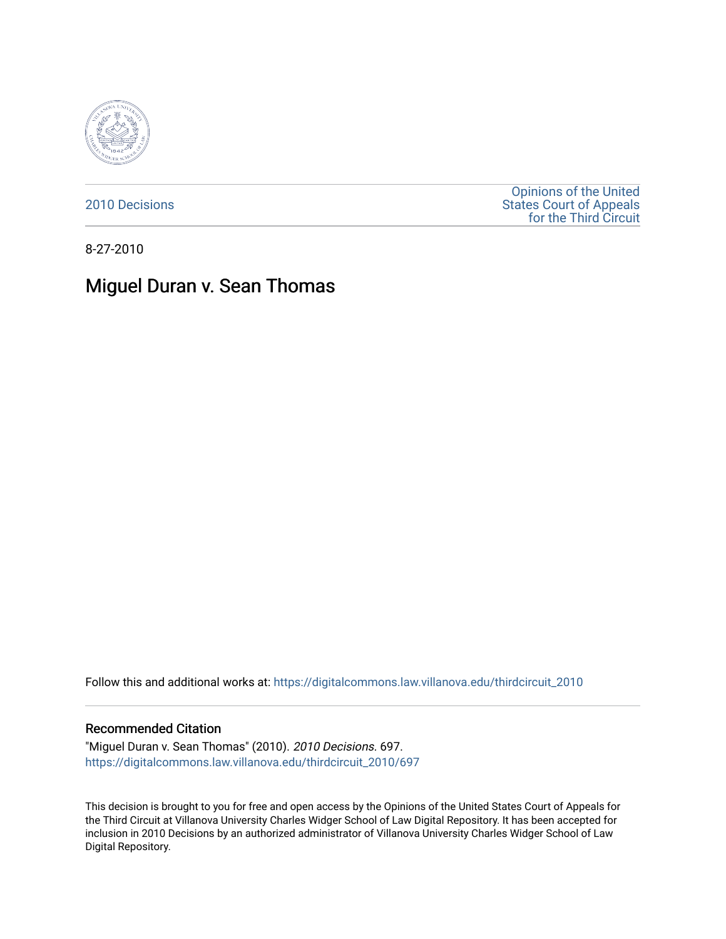

[2010 Decisions](https://digitalcommons.law.villanova.edu/thirdcircuit_2010)

[Opinions of the United](https://digitalcommons.law.villanova.edu/thirdcircuit)  [States Court of Appeals](https://digitalcommons.law.villanova.edu/thirdcircuit)  [for the Third Circuit](https://digitalcommons.law.villanova.edu/thirdcircuit) 

8-27-2010

## Miguel Duran v. Sean Thomas

Follow this and additional works at: [https://digitalcommons.law.villanova.edu/thirdcircuit\\_2010](https://digitalcommons.law.villanova.edu/thirdcircuit_2010?utm_source=digitalcommons.law.villanova.edu%2Fthirdcircuit_2010%2F697&utm_medium=PDF&utm_campaign=PDFCoverPages) 

## Recommended Citation

"Miguel Duran v. Sean Thomas" (2010). 2010 Decisions. 697. [https://digitalcommons.law.villanova.edu/thirdcircuit\\_2010/697](https://digitalcommons.law.villanova.edu/thirdcircuit_2010/697?utm_source=digitalcommons.law.villanova.edu%2Fthirdcircuit_2010%2F697&utm_medium=PDF&utm_campaign=PDFCoverPages)

This decision is brought to you for free and open access by the Opinions of the United States Court of Appeals for the Third Circuit at Villanova University Charles Widger School of Law Digital Repository. It has been accepted for inclusion in 2010 Decisions by an authorized administrator of Villanova University Charles Widger School of Law Digital Repository.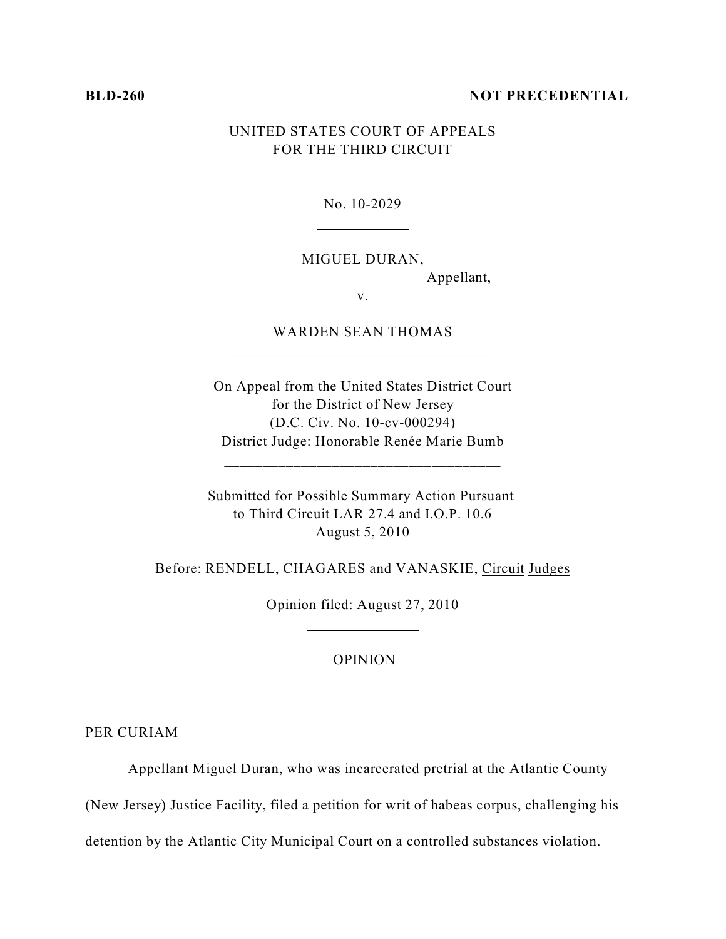## **BLD-260 NOT PRECEDENTIAL**

## UNITED STATES COURT OF APPEALS FOR THE THIRD CIRCUIT

 $\overline{a}$ 

 $\overline{a}$ 

No. 10-2029

MIGUEL DURAN,

Appellant,

v.

WARDEN SEAN THOMAS \_\_\_\_\_\_\_\_\_\_\_\_\_\_\_\_\_\_\_\_\_\_\_\_\_\_\_\_\_\_\_\_\_\_

On Appeal from the United States District Court for the District of New Jersey (D.C. Civ. No. 10-cv-000294) District Judge: Honorable Renée Marie Bumb

\_\_\_\_\_\_\_\_\_\_\_\_\_\_\_\_\_\_\_\_\_\_\_\_\_\_\_\_\_\_\_\_\_\_\_\_

Submitted for Possible Summary Action Pursuant to Third Circuit LAR 27.4 and I.O.P. 10.6 August 5, 2010

Before: RENDELL, CHAGARES and VANASKIE, Circuit Judges

Opinion filed: August 27, 2010

 $\overline{a}$ 

OPINION

PER CURIAM

Appellant Miguel Duran, who was incarcerated pretrial at the Atlantic County

(New Jersey) Justice Facility, filed a petition for writ of habeas corpus, challenging his

detention by the Atlantic City Municipal Court on a controlled substances violation.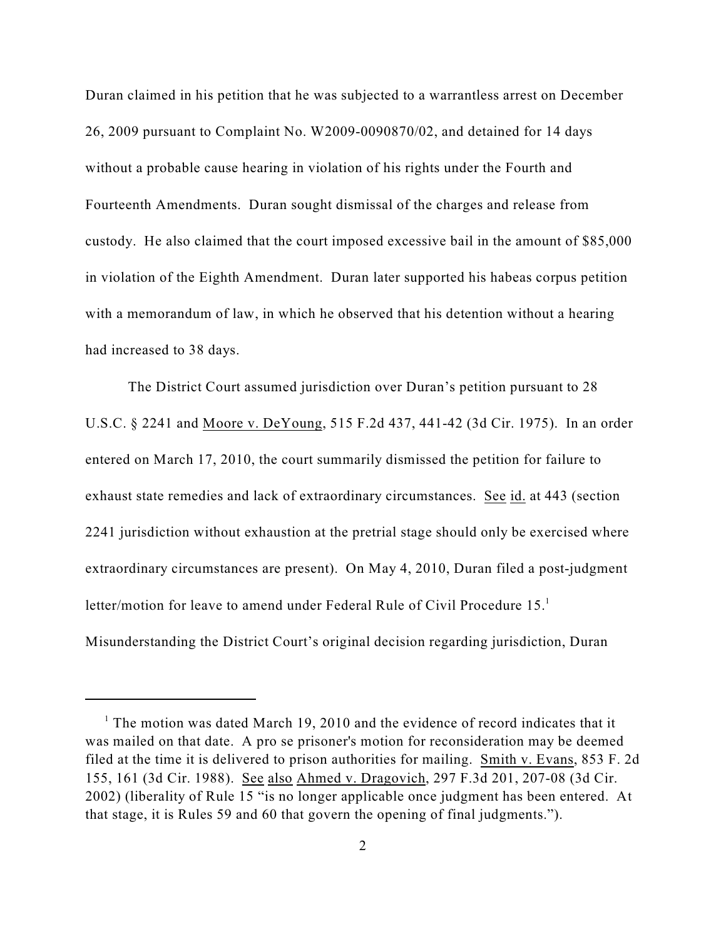Duran claimed in his petition that he was subjected to a warrantless arrest on December 26, 2009 pursuant to Complaint No. W2009-0090870/02, and detained for 14 days without a probable cause hearing in violation of his rights under the Fourth and Fourteenth Amendments. Duran sought dismissal of the charges and release from custody. He also claimed that the court imposed excessive bail in the amount of \$85,000 in violation of the Eighth Amendment. Duran later supported his habeas corpus petition with a memorandum of law, in which he observed that his detention without a hearing had increased to 38 days.

The District Court assumed jurisdiction over Duran's petition pursuant to 28 U.S.C. § 2241 and Moore v. DeYoung, 515 F.2d 437, 441-42 (3d Cir. 1975). In an order entered on March 17, 2010, the court summarily dismissed the petition for failure to exhaust state remedies and lack of extraordinary circumstances. See id. at 443 (section 2241 jurisdiction without exhaustion at the pretrial stage should only be exercised where extraordinary circumstances are present). On May 4, 2010, Duran filed a post-judgment letter/motion for leave to amend under Federal Rule of Civil Procedure 15.<sup>1</sup> Misunderstanding the District Court's original decision regarding jurisdiction, Duran

<sup>&</sup>lt;sup>1</sup> The motion was dated March 19, 2010 and the evidence of record indicates that it was mailed on that date. A pro se prisoner's motion for reconsideration may be deemed filed at the time it is delivered to prison authorities for mailing. Smith v. Evans, 853 F. 2d 155, 161 (3d Cir. 1988). See also Ahmed v. Dragovich, 297 F.3d 201, 207-08 (3d Cir. 2002) (liberality of Rule 15 "is no longer applicable once judgment has been entered. At that stage, it is Rules 59 and 60 that govern the opening of final judgments.").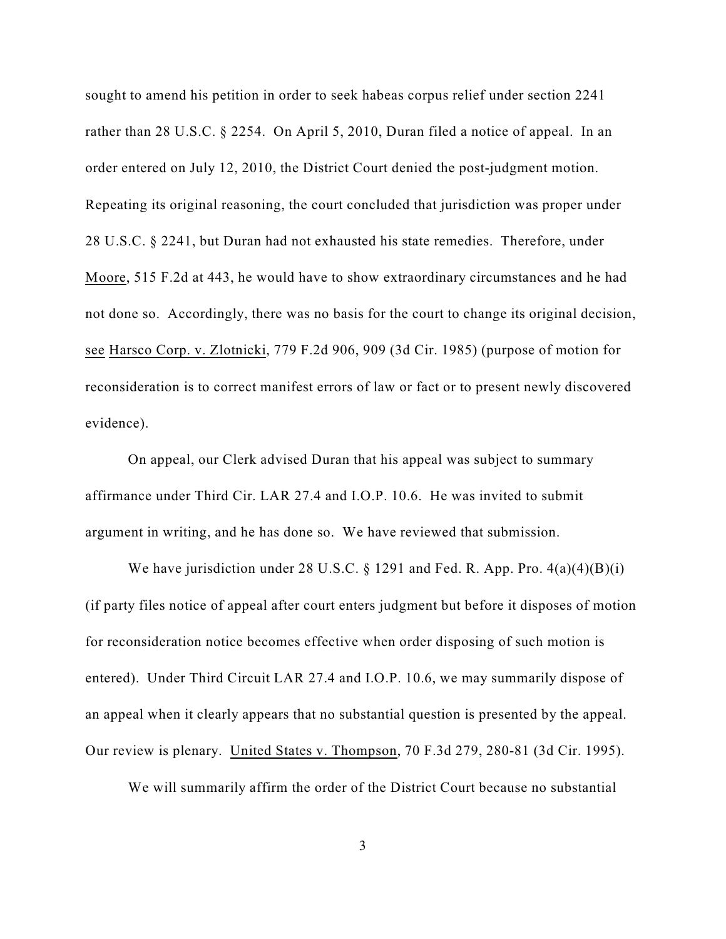sought to amend his petition in order to seek habeas corpus relief under section 2241 rather than 28 U.S.C. § 2254. On April 5, 2010, Duran filed a notice of appeal. In an order entered on July 12, 2010, the District Court denied the post-judgment motion. Repeating its original reasoning, the court concluded that jurisdiction was proper under 28 U.S.C. § 2241, but Duran had not exhausted his state remedies. Therefore, under Moore, 515 F.2d at 443, he would have to show extraordinary circumstances and he had not done so. Accordingly, there was no basis for the court to change its original decision, see Harsco Corp. v. Zlotnicki, 779 F.2d 906, 909 (3d Cir. 1985) (purpose of motion for reconsideration is to correct manifest errors of law or fact or to present newly discovered evidence).

On appeal, our Clerk advised Duran that his appeal was subject to summary affirmance under Third Cir. LAR 27.4 and I.O.P. 10.6. He was invited to submit argument in writing, and he has done so. We have reviewed that submission.

We have jurisdiction under 28 U.S.C.  $\S$  1291 and Fed. R. App. Pro. 4(a)(4)(B)(i) (if party files notice of appeal after court enters judgment but before it disposes of motion for reconsideration notice becomes effective when order disposing of such motion is entered). Under Third Circuit LAR 27.4 and I.O.P. 10.6, we may summarily dispose of an appeal when it clearly appears that no substantial question is presented by the appeal. Our review is plenary. United States v. Thompson, 70 F.3d 279, 280-81 (3d Cir. 1995).

We will summarily affirm the order of the District Court because no substantial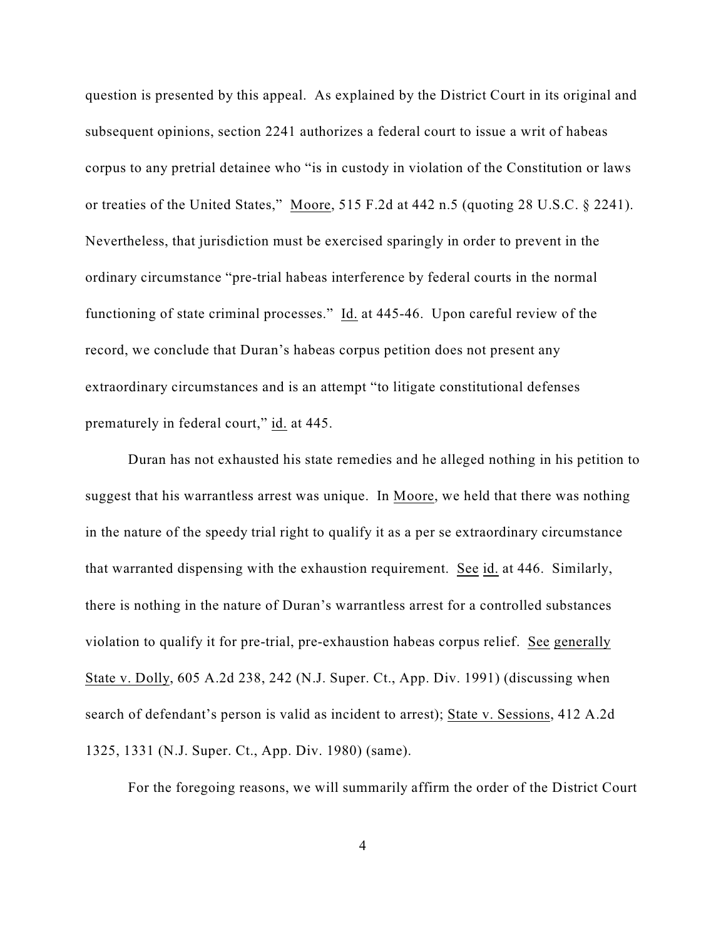question is presented by this appeal. As explained by the District Court in its original and subsequent opinions, section 2241 authorizes a federal court to issue a writ of habeas corpus to any pretrial detainee who "is in custody in violation of the Constitution or laws or treaties of the United States," Moore, 515 F.2d at 442 n.5 (quoting 28 U.S.C. § 2241). Nevertheless, that jurisdiction must be exercised sparingly in order to prevent in the ordinary circumstance "pre-trial habeas interference by federal courts in the normal functioning of state criminal processes." Id. at 445-46. Upon careful review of the record, we conclude that Duran's habeas corpus petition does not present any extraordinary circumstances and is an attempt "to litigate constitutional defenses prematurely in federal court," id. at 445.

Duran has not exhausted his state remedies and he alleged nothing in his petition to suggest that his warrantless arrest was unique. In Moore, we held that there was nothing in the nature of the speedy trial right to qualify it as a per se extraordinary circumstance that warranted dispensing with the exhaustion requirement. See id. at 446. Similarly, there is nothing in the nature of Duran's warrantless arrest for a controlled substances violation to qualify it for pre-trial, pre-exhaustion habeas corpus relief. See generally State v. Dolly, 605 A.2d 238, 242 (N.J. Super. Ct., App. Div. 1991) (discussing when search of defendant's person is valid as incident to arrest); State v. Sessions, 412 A.2d 1325, 1331 (N.J. Super. Ct., App. Div. 1980) (same).

For the foregoing reasons, we will summarily affirm the order of the District Court